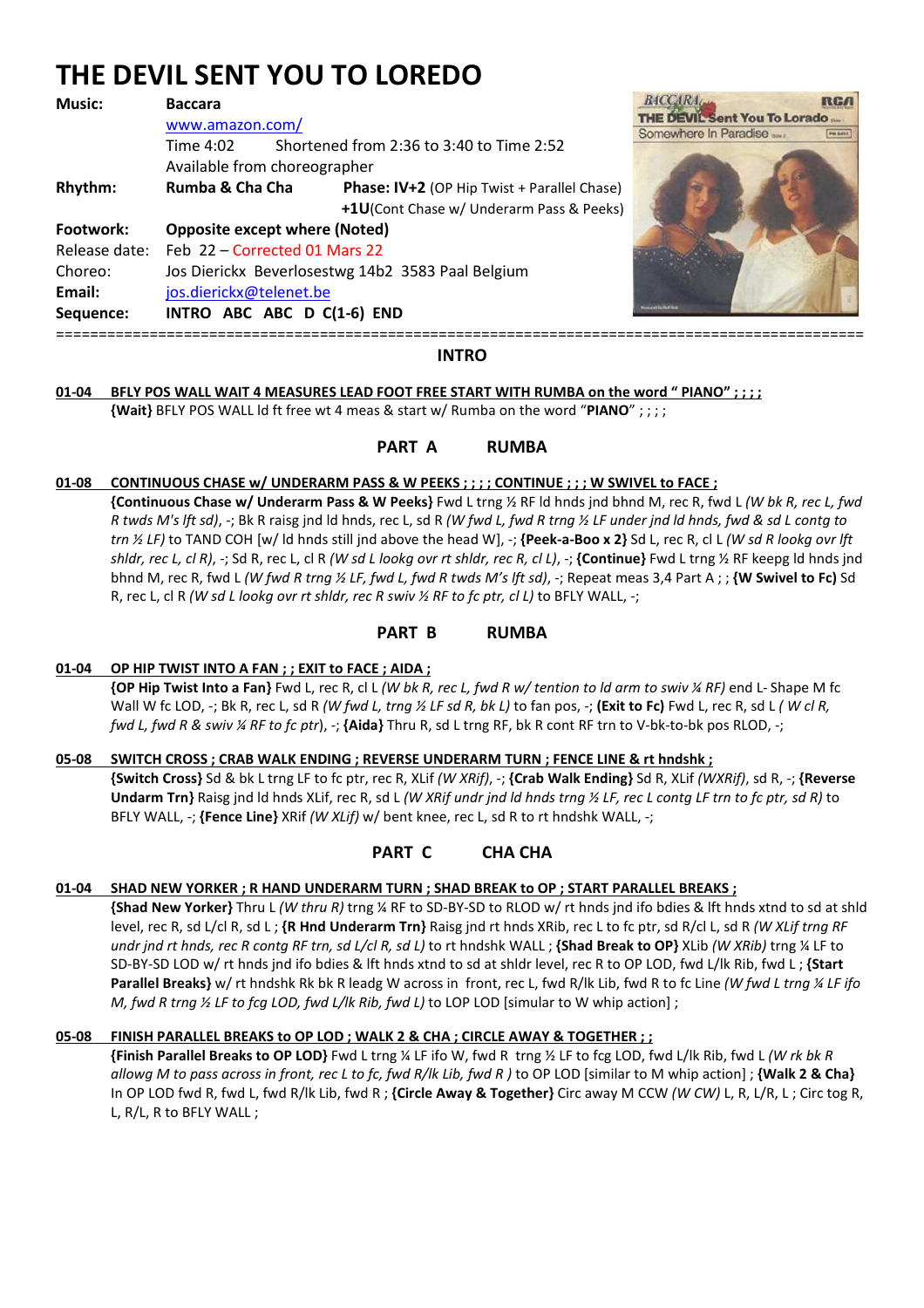# **THE DEVIL SENT YOU TO LOREDO**

| <b>Music:</b>                               | <b>Baccara</b>                                                                                                                                                                                    |                                                                                                                                            |                                                              |         |
|---------------------------------------------|---------------------------------------------------------------------------------------------------------------------------------------------------------------------------------------------------|--------------------------------------------------------------------------------------------------------------------------------------------|--------------------------------------------------------------|---------|
| Rhythm:                                     | www.amazon.com/<br>Time 4:02<br>Available from choreographer<br>Rumba & Cha Cha                                                                                                                   | Shortened from 2:36 to 3:40 to Time 2:52<br><b>Phase: IV+2</b> (OP Hip Twist + Parallel Chase)<br>+1U(Cont Chase w/ Underarm Pass & Peeks) | <b>THE DEVIL Sent You To Lorado</b><br>Somewhere In Paradise | PB SETT |
| Footwork:<br>Choreo:<br>Email:<br>Sequence: | <b>Opposite except where (Noted)</b><br>Release date: Feb 22 - Corrected 01 Mars 22<br>Jos Dierickx Beverlosestwg 14b2 3583 Paal Belgium<br>jos.dierickx@telenet.be<br>INTRO ABC ABC D C(1-6) END |                                                                                                                                            |                                                              |         |



#### **INTRO**

## **01-04 BFLY POS WALL WAIT 4 MEASURES LEAD FOOT FREE START WITH RUMBA on the word " PIANO" ; ; ; ;**

 **{Wait}** BFLY POS WALL ld ft free wt 4 meas & start w/ Rumba on the word "**PIANO**" ; ; ; ;

## **PART A RUMBA**

#### **01-08 CONTINUOUS CHASE w/ UNDERARM PASS & W PEEKS ; ; ; ; CONTINUE ; ; ; W SWIVEL to FACE ;**

**{Continuous Chase w/ Underarm Pass & W Peeks}** Fwd L trng ½ RF ld hnds jnd bhnd M, rec R, fwd L *(W bk R, rec L, fwd R twds M's lft sd)*, -; Bk R raisg jnd ld hnds, rec L, sd R *(W fwd L, fwd R trng ½ LF under jnd ld hnds, fwd & sd L contg to trn ½ LF)* to TAND COH [w/ ld hnds still jnd above the head W], -; **{Peek-a-Boo x 2}** Sd L, rec R, cl L *(W sd R lookg ovr lft shldr, rec L, cl R)*, -; Sd R, rec L, cl R *(W sd L lookg ovr rt shldr, rec R, cl L)*, -; **{Continue}** Fwd L trng ½ RF keepg ld hnds jnd bhnd M, rec R, fwd L *(W fwd R trng ½ LF, fwd L, fwd R twds M's lft sd)*, -; Repeat meas 3,4 Part A ; ; **{W Swivel to Fc)** Sd R, rec L, cl R *(W sd L lookg ovr rt shldr, rec R swiv ½ RF to fc ptr, cl L)* to BFLY WALL, -;

#### **PART B RUMBA**

#### **01-04 OP HIP TWIST INTO A FAN ; ; EXIT to FACE ; AIDA ;**

 **{OP Hip Twist Into a Fan}** Fwd L, rec R, cl L *(W bk R, rec L, fwd R w/ tention to ld arm to swiv ¼ RF)* end L- Shape M fc Wall W fc LOD, -; Bk R, rec L, sd R *(W fwd L, trng ½ LF sd R, bk L)* to fan pos, -; **(Exit to Fc)** Fwd L, rec R, sd L *( W cl R, fwd L, fwd R & swiv ¼ RF to fc ptr*), -; **{Aida}** Thru R, sd L trng RF, bk R cont RF trn to V-bk-to-bk pos RLOD, -;

#### **05-08 SWITCH CROSS ; CRAB WALK ENDING ; REVERSE UNDERARM TURN ; FENCE LINE & rt hndshk ;**

 **{Switch Cross}** Sd & bk L trng LF to fc ptr, rec R, XLif *(W XRif)*, -; **{Crab Walk Ending}** Sd R, XLif *(WXRif)*, sd R, -; **{Reverse Undarm Trn}** Raisg jnd ld hnds XLif, rec R, sd L *(W XRif undr jnd ld hnds trng ½ LF, rec L contg LF trn to fc ptr, sd R)* to BFLY WALL, -; **{Fence Line}** XRif *(W XLif)* w/ bent knee, rec L, sd R to rt hndshk WALL, -;

# **PART C CHA CHA**

#### **01-04 SHAD NEW YORKER ; R HAND UNDERARM TURN ; SHAD BREAK to OP ; START PARALLEL BREAKS ;**

 **{Shad New Yorker}** Thru L *(W thru R)* trng ¼ RF to SD-BY-SD to RLOD w/ rt hnds jnd ifo bdies & lft hnds xtnd to sd at shld level, rec R, sd L/cl R, sd L ; **{R Hnd Underarm Trn}** Raisg jnd rt hnds XRib, rec L to fc ptr, sd R/cl L, sd R *(W XLif trng RF undr jnd rt hnds, rec R contg RF trn, sd L/cl R, sd L)* to rt hndshk WALL ; **{Shad Break to OP}** XLib *(W XRib)* trng ¼ LF to SD-BY-SD LOD w/ rt hnds jnd ifo bdies & lft hnds xtnd to sd at shldr level, rec R to OP LOD, fwd L/lk Rib, fwd L ; **{Start Parallel Breaks}** w/ rt hndshk Rk bk R leadg W across in front, rec L, fwd R/lk Lib, fwd R to fc Line *(W fwd L trng ¼ LF ifo M, fwd R trng ½ LF to fcg LOD, fwd L/lk Rib, fwd L)* to LOP LOD [simular to W whip action] ;

## **05-08 FINISH PARALLEL BREAKS to OP LOD ; WALK 2 & CHA ; CIRCLE AWAY & TOGETHER ; ;**

 **{Finish Parallel Breaks to OP LOD}** Fwd L trng ¼ LF ifo W, fwd R trng ½ LF to fcg LOD, fwd L/lk Rib, fwd L *(W rk bk R allowg M to pass across in front, rec L to fc, fwd R/lk Lib, fwd R )* to OP LOD [similar to M whip action] ; **{Walk 2 & Cha}** In OP LOD fwd R, fwd L, fwd R/lk Lib, fwd R ; **{Circle Away & Together}** Circ away M CCW *(W CW)* L, R, L/R, L ; Circ tog R, L, R/L, R to BFLY WALL ;